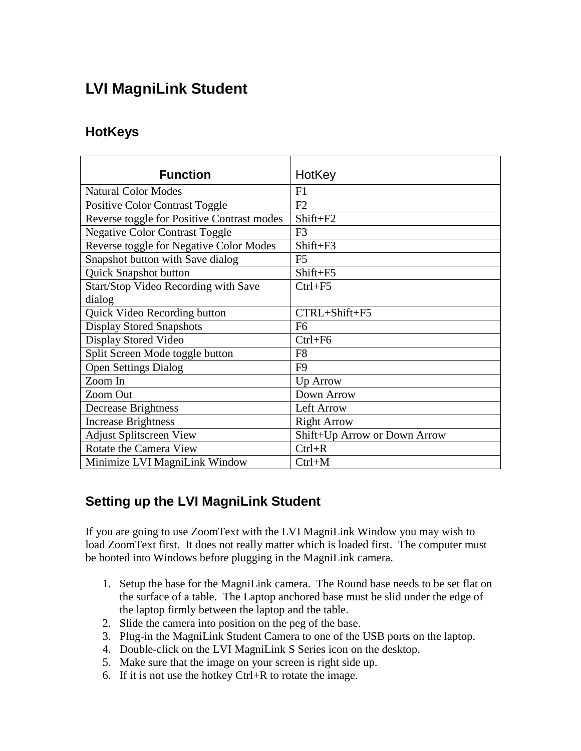# **LVI MagniLink Student**

#### **HotKeys**

| <b>Function</b>                            | HotKey                       |
|--------------------------------------------|------------------------------|
|                                            |                              |
| <b>Natural Color Modes</b>                 | F1                           |
| <b>Positive Color Contrast Toggle</b>      | F2                           |
| Reverse toggle for Positive Contrast modes | Shift+F2                     |
| <b>Negative Color Contrast Toggle</b>      | F <sub>3</sub>               |
| Reverse toggle for Negative Color Modes    | Shift+F3                     |
| Snapshot button with Save dialog           | F <sub>5</sub>               |
| Quick Snapshot button                      | Shift+F5                     |
| Start/Stop Video Recording with Save       | $Ctrl + F5$                  |
| dialog                                     |                              |
| Quick Video Recording button               | CTRL+Shift+F5                |
| <b>Display Stored Snapshots</b>            | F <sub>6</sub>               |
| Display Stored Video                       | $Ctrl + F6$                  |
| Split Screen Mode toggle button            | F <sub>8</sub>               |
| <b>Open Settings Dialog</b>                | F <sub>9</sub>               |
| Zoom In                                    | Up Arrow                     |
| Zoom Out                                   | Down Arrow                   |
| <b>Decrease Brightness</b>                 | Left Arrow                   |
| <b>Increase Brightness</b>                 | <b>Right Arrow</b>           |
| <b>Adjust Splitscreen View</b>             | Shift+Up Arrow or Down Arrow |
| Rotate the Camera View                     | $Ctrl + R$                   |
| Minimize LVI MagniLink Window              | $Ctrl+M$                     |

## **Setting up the LVI MagniLink Student**

If you are going to use ZoomText with the LVI MagniLink Window you may wish to load ZoomText first. It does not really matter which is loaded first. The computer must be booted into Windows before plugging in the MagniLink camera.

- 1. Setup the base for the MagniLink camera. The Round base needs to be set flat on the surface of a table. The Laptop anchored base must be slid under the edge of the laptop firmly between the laptop and the table.
- 2. Slide the camera into position on the peg of the base.
- 3. Plug-in the MagniLink Student Camera to one of the USB ports on the laptop.
- 4. Double-click on the LVI MagniLink S Series icon on the desktop.
- 5. Make sure that the image on your screen is right side up.
- 6. If it is not use the hotkey Ctrl+R to rotate the image.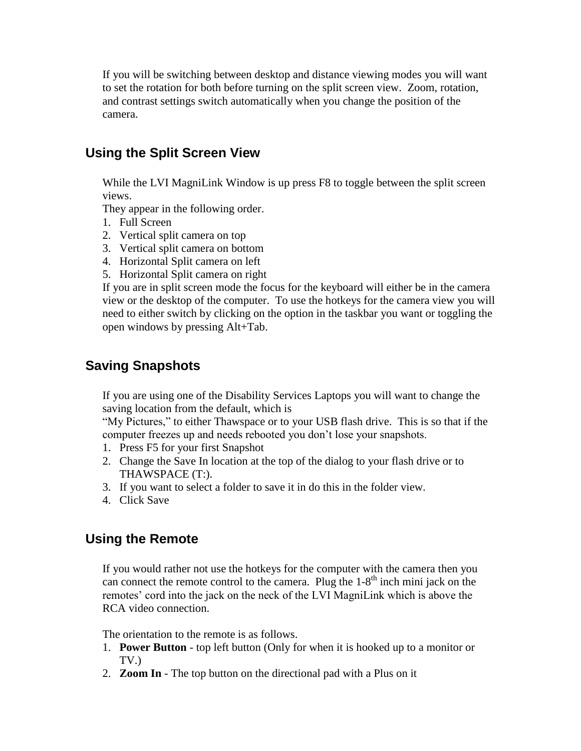If you will be switching between desktop and distance viewing modes you will want to set the rotation for both before turning on the split screen view. Zoom, rotation, and contrast settings switch automatically when you change the position of the camera.

### **Using the Split Screen View**

While the LVI MagniLink Window is up press F8 to toggle between the split screen views.

They appear in the following order.

- 1. Full Screen
- 2. Vertical split camera on top
- 3. Vertical split camera on bottom
- 4. Horizontal Split camera on left
- 5. Horizontal Split camera on right

If you are in split screen mode the focus for the keyboard will either be in the camera view or the desktop of the computer. To use the hotkeys for the camera view you will need to either switch by clicking on the option in the taskbar you want or toggling the open windows by pressing Alt+Tab.

#### **Saving Snapshots**

If you are using one of the Disability Services Laptops you will want to change the saving location from the default, which is

"My Pictures," to either Thawspace or to your USB flash drive. This is so that if the computer freezes up and needs rebooted you don't lose your snapshots.

- 1. Press F5 for your first Snapshot
- 2. Change the Save In location at the top of the dialog to your flash drive or to THAWSPACE (T:).
- 3. If you want to select a folder to save it in do this in the folder view.
- 4. Click Save

#### **Using the Remote**

If you would rather not use the hotkeys for the computer with the camera then you can connect the remote control to the camera. Plug the  $1-8<sup>th</sup>$  inch mini jack on the remotes' cord into the jack on the neck of the LVI MagniLink which is above the RCA video connection.

The orientation to the remote is as follows.

- 1. **Power Button** top left button (Only for when it is hooked up to a monitor or TV.)
- 2. **Zoom In** The top button on the directional pad with a Plus on it